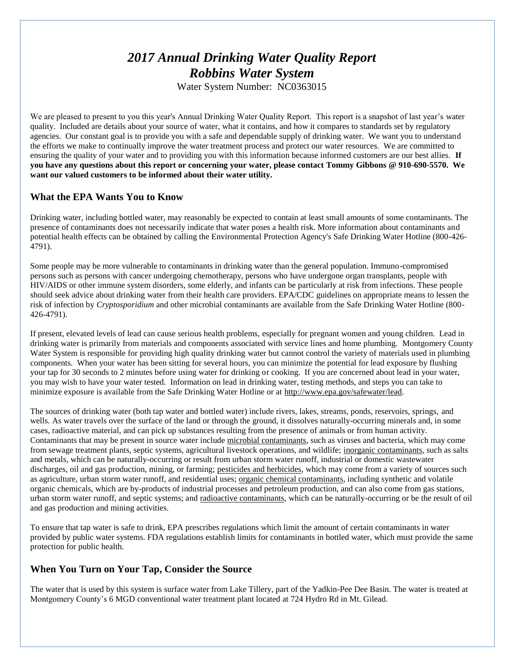# *2017 Annual Drinking Water Quality Report Robbins Water System*

Water System Number: NC0363015

We are pleased to present to you this year's Annual Drinking Water Quality Report. This report is a snapshot of last year's water quality. Included are details about your source of water, what it contains, and how it compares to standards set by regulatory agencies. Our constant goal is to provide you with a safe and dependable supply of drinking water. We want you to understand the efforts we make to continually improve the water treatment process and protect our water resources. We are committed to ensuring the quality of your water and to providing you with this information because informed customers are our best allies. **If you have any questions about this report or concerning your water, please contact Tommy Gibbons @ 910-690-5570. We want our valued customers to be informed about their water utility.**

## **What the EPA Wants You to Know**

Drinking water, including bottled water, may reasonably be expected to contain at least small amounts of some contaminants. The presence of contaminants does not necessarily indicate that water poses a health risk. More information about contaminants and potential health effects can be obtained by calling the Environmental Protection Agency's Safe Drinking Water Hotline (800-426- 4791).

Some people may be more vulnerable to contaminants in drinking water than the general population. Immuno-compromised persons such as persons with cancer undergoing chemotherapy, persons who have undergone organ transplants, people with HIV/AIDS or other immune system disorders, some elderly, and infants can be particularly at risk from infections. These people should seek advice about drinking water from their health care providers. EPA/CDC guidelines on appropriate means to lessen the risk of infection by *Cryptosporidium* and other microbial contaminants are available from the Safe Drinking Water Hotline (800- 426-4791).

If present, elevated levels of lead can cause serious health problems, especially for pregnant women and young children. Lead in drinking water is primarily from materials and components associated with service lines and home plumbing. Montgomery County Water System is responsible for providing high quality drinking water but cannot control the variety of materials used in plumbing components. When your water has been sitting for several hours, you can minimize the potential for lead exposure by flushing your tap for 30 seconds to 2 minutes before using water for drinking or cooking. If you are concerned about lead in your water, you may wish to have your water tested. Information on lead in drinking water, testing methods, and steps you can take to minimize exposure is available from the Safe Drinking Water Hotline or at [http://www.epa.gov/safewater/lead.](http://www.epa.gov/safewater/lead)

The sources of drinking water (both tap water and bottled water) include rivers, lakes, streams, ponds, reservoirs, springs, and wells. As water travels over the surface of the land or through the ground, it dissolves naturally-occurring minerals and, in some cases, radioactive material, and can pick up substances resulting from the presence of animals or from human activity. Contaminants that may be present in source water include microbial contaminants, such as viruses and bacteria, which may come from sewage treatment plants, septic systems, agricultural livestock operations, and wildlife; inorganic contaminants, such as salts and metals, which can be naturally-occurring or result from urban storm water runoff, industrial or domestic wastewater discharges, oil and gas production, mining, or farming; pesticides and herbicides, which may come from a variety of sources such as agriculture, urban storm water runoff, and residential uses; organic chemical contaminants, including synthetic and volatile organic chemicals, which are by-products of industrial processes and petroleum production, and can also come from gas stations, urban storm water runoff, and septic systems; and radioactive contaminants, which can be naturally-occurring or be the result of oil and gas production and mining activities.

To ensure that tap water is safe to drink, EPA prescribes regulations which limit the amount of certain contaminants in water provided by public water systems. FDA regulations establish limits for contaminants in bottled water, which must provide the same protection for public health.

# **When You Turn on Your Tap, Consider the Source**

The water that is used by this system is surface water from Lake Tillery, part of the Yadkin-Pee Dee Basin. The water is treated at Montgomery County's 6 MGD conventional water treatment plant located at 724 Hydro Rd in Mt. Gilead.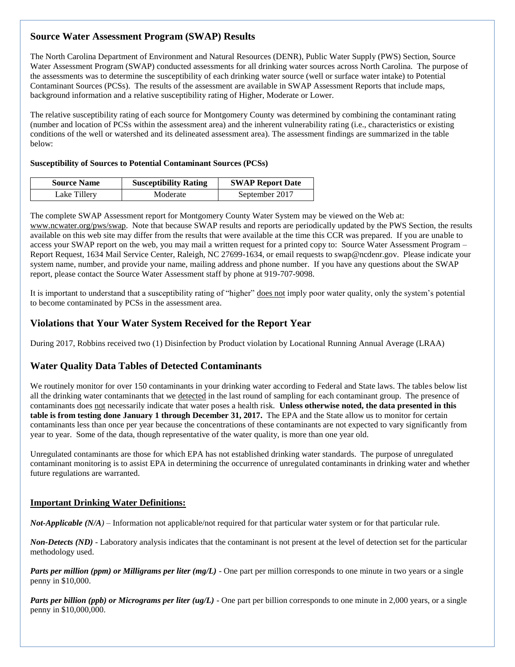# **Source Water Assessment Program (SWAP) Results**

The North Carolina Department of Environment and Natural Resources (DENR), Public Water Supply (PWS) Section, Source Water Assessment Program (SWAP) conducted assessments for all drinking water sources across North Carolina. The purpose of the assessments was to determine the susceptibility of each drinking water source (well or surface water intake) to Potential Contaminant Sources (PCSs). The results of the assessment are available in SWAP Assessment Reports that include maps, background information and a relative susceptibility rating of Higher, Moderate or Lower.

The relative susceptibility rating of each source for Montgomery County was determined by combining the contaminant rating (number and location of PCSs within the assessment area) and the inherent vulnerability rating (i.e., characteristics or existing conditions of the well or watershed and its delineated assessment area). The assessment findings are summarized in the table below:

#### **Susceptibility of Sources to Potential Contaminant Sources (PCSs)**

| <b>Source Name</b> | <b>Susceptibility Rating</b> | <b>SWAP Report Date</b> |  |  |
|--------------------|------------------------------|-------------------------|--|--|
| Lake Tillery       | Moderate                     | September 2017          |  |  |

The complete SWAP Assessment report for Montgomery County Water System may be viewed on the Web at: [www.ncwater.org/pws/swap.](http://www.ncwater.org/pws/swap) Note that because SWAP results and reports are periodically updated by the PWS Section, the results available on this web site may differ from the results that were available at the time this CCR was prepared. If you are unable to access your SWAP report on the web, you may mail a written request for a printed copy to: Source Water Assessment Program – Report Request, 1634 Mail Service Center, Raleigh, NC 27699-1634, or email requests to swap@ncdenr.gov. Please indicate your system name, number, and provide your name, mailing address and phone number. If you have any questions about the SWAP report, please contact the Source Water Assessment staff by phone at 919-707-9098.

It is important to understand that a susceptibility rating of "higher" does not imply poor water quality, only the system's potential to become contaminated by PCSs in the assessment area.

## **Violations that Your Water System Received for the Report Year**

During 2017, Robbins received two (1) Disinfection by Product violation by Locational Running Annual Average (LRAA)

## **Water Quality Data Tables of Detected Contaminants**

We routinely monitor for over 150 contaminants in your drinking water according to Federal and State laws. The tables below list all the drinking water contaminants that we detected in the last round of sampling for each contaminant group. The presence of contaminants does not necessarily indicate that water poses a health risk. **Unless otherwise noted, the data presented in this table is from testing done January 1 through December 31, 2017.** The EPA and the State allow us to monitor for certain contaminants less than once per year because the concentrations of these contaminants are not expected to vary significantly from year to year. Some of the data, though representative of the water quality, is more than one year old.

Unregulated contaminants are those for which EPA has not established drinking water standards. The purpose of unregulated contaminant monitoring is to assist EPA in determining the occurrence of unregulated contaminants in drinking water and whether future regulations are warranted.

## **Important Drinking Water Definitions:**

*Not-Applicable (N/A)* – Information not applicable/not required for that particular water system or for that particular rule.

*Non-Detects (ND)* - Laboratory analysis indicates that the contaminant is not present at the level of detection set for the particular methodology used.

*Parts per million (ppm) or Milligrams per liter (mg/L)* - One part per million corresponds to one minute in two years or a single penny in \$10,000.

*Parts per billion (ppb) or Micrograms per liter (ug/L)* - One part per billion corresponds to one minute in 2,000 years, or a single penny in \$10,000,000.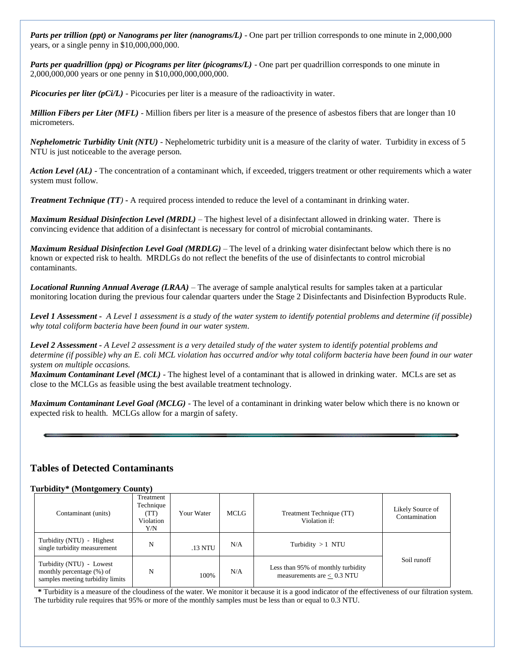*Parts per trillion (ppt) or Nanograms per liter (nanograms/L)* - One part per trillion corresponds to one minute in 2,000,000 years, or a single penny in \$10,000,000,000.

*Parts per quadrillion (ppq) or Picograms per liter (picograms/L)* - One part per quadrillion corresponds to one minute in 2,000,000,000 years or one penny in \$10,000,000,000,000.

*Picocuries per liter (pCi/L)* - Picocuries per liter is a measure of the radioactivity in water.

*Million Fibers per Liter (MFL)* - Million fibers per liter is a measure of the presence of asbestos fibers that are longer than 10 micrometers.

*Nephelometric Turbidity Unit (NTU)* - Nephelometric turbidity unit is a measure of the clarity of water. Turbidity in excess of 5 NTU is just noticeable to the average person.

*Action Level (AL) -* The concentration of a contaminant which, if exceeded, triggers treatment or other requirements which a water system must follow.

*Treatment Technique (TT)* **-** A required process intended to reduce the level of a contaminant in drinking water.

*Maximum Residual Disinfection Level (MRDL)* – The highest level of a disinfectant allowed in drinking water. There is convincing evidence that addition of a disinfectant is necessary for control of microbial contaminants.

*Maximum Residual Disinfection Level Goal (MRDLG)* – The level of a drinking water disinfectant below which there is no known or expected risk to health. MRDLGs do not reflect the benefits of the use of disinfectants to control microbial contaminants.

*Locational Running Annual Average (LRAA)* – The average of sample analytical results for samples taken at a particular monitoring location during the previous four calendar quarters under the Stage 2 Disinfectants and Disinfection Byproducts Rule.

*Level 1 Assessment - A Level 1 assessment is a study of the water system to identify potential problems and determine (if possible) why total coliform bacteria have been found in our water system.*

*Level 2 Assessment - A Level 2 assessment is a very detailed study of the water system to identify potential problems and determine (if possible) why an E. coli MCL violation has occurred and/or why total coliform bacteria have been found in our water system on multiple occasions.*

*Maximum Contaminant Level (MCL)* - The highest level of a contaminant that is allowed in drinking water. MCLs are set as close to the MCLGs as feasible using the best available treatment technology.

*Maximum Contaminant Level Goal (MCLG)* - The level of a contaminant in drinking water below which there is no known or expected risk to health. MCLGs allow for a margin of safety.

## **Tables of Detected Contaminants**

#### **Turbidity\* (Montgomery County)**

| Contaminant (units)                                                                       | Treatment<br>Technique<br>(TT)<br>Violation<br>Y/N | Your Water | <b>MCLG</b> | Treatment Technique (TT)<br>Violation if:                          | Likely Source of<br>Contamination |
|-------------------------------------------------------------------------------------------|----------------------------------------------------|------------|-------------|--------------------------------------------------------------------|-----------------------------------|
| Turbidity (NTU) - Highest<br>single turbidity measurement                                 | N                                                  | .13 NTU    | N/A         | Turbidity $>1$ NTU                                                 |                                   |
| Turbidity (NTU) - Lowest<br>monthly percentage (%) of<br>samples meeting turbidity limits | N                                                  | 100%       | N/A         | Less than 95% of monthly turbidity<br>measurements are $< 0.3$ NTU | Soil runoff                       |

 **\*** Turbidity is a measure of the cloudiness of the water. We monitor it because it is a good indicator of the effectiveness of our filtration system. The turbidity rule requires that 95% or more of the monthly samples must be less than or equal to 0.3 NTU.